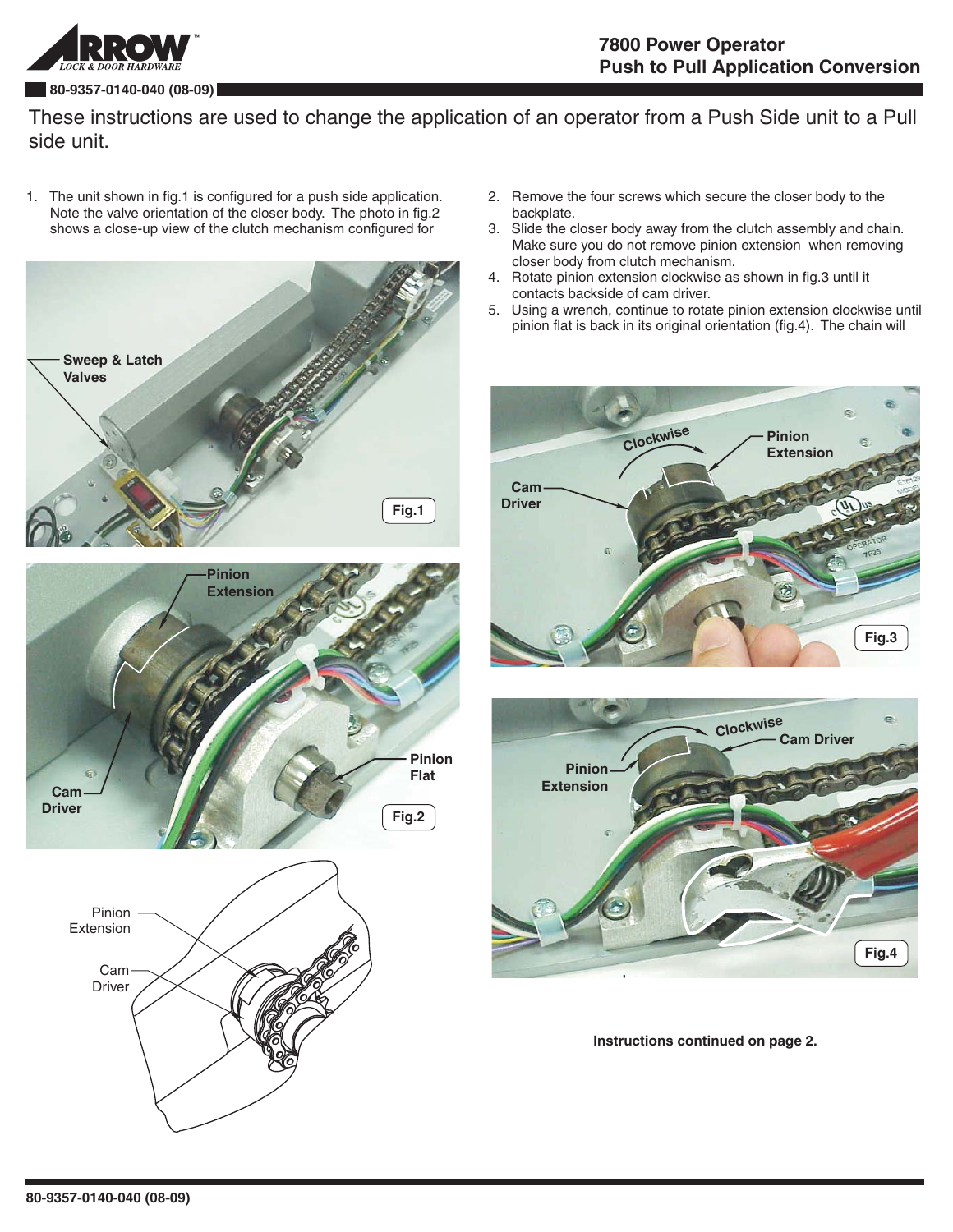

## **80-9357-0140-040 (08-09)**

These instructions are used to change the application of an operator from a Push Side unit to a Pull side unit.

1. The unit shown in fig.1 is configured for a push side application. Note the valve orientation of the closer body. The photo in fig.2 shows a close-up view of the clutch mechanism configured for



- 2. Remove the four screws which secure the closer body to the backplate.
- 3. Slide the closer body away from the clutch assembly and chain. Make sure you do not remove pinion extension when removing closer body from clutch mechanism.
- 4. Rotate pinion extension clockwise as shown in fig.3 until it contacts backside of cam driver.
- 5. Using a wrench, continue to rotate pinion extension clockwise until pinion flat is back in its original orientation (fig.4). The chain will





**Instructions continued on page 2.**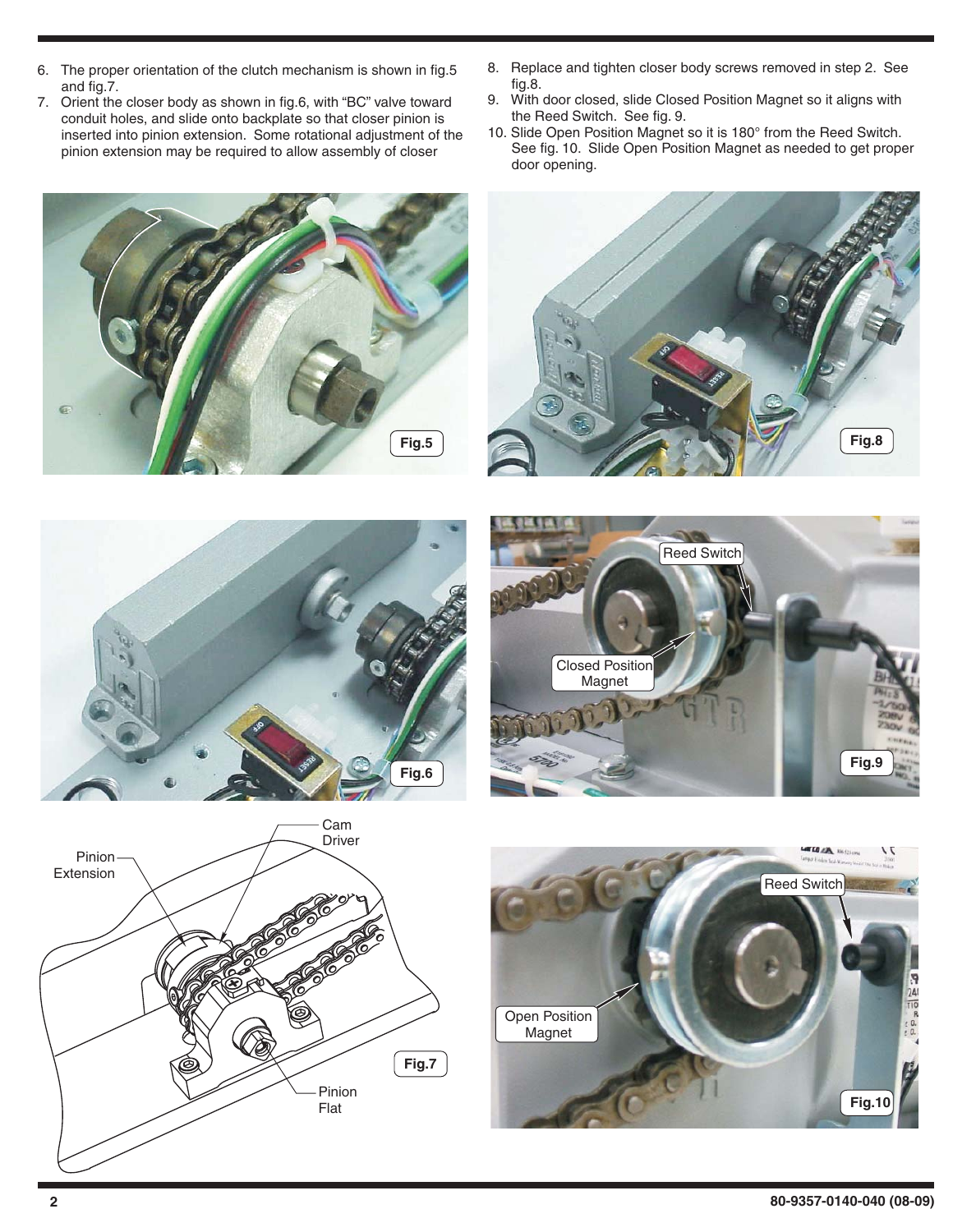- 6. The proper orientation of the clutch mechanism is shown in fig.5 and fig.7.
- 7. Orient the closer body as shown in fig.6, with "BC" valve toward conduit holes, and slide onto backplate so that closer pinion is inserted into pinion extension. Some rotational adjustment of the pinion extension may be required to allow assembly of closer
- **Fig.5**
- 8. Replace and tighten closer body screws removed in step 2. See fig.8.
- 9. With door closed, slide Closed Position Magnet so it aligns with the Reed Switch. See fig. 9.
- 10. Slide Open Position Magnet so it is 180° from the Reed Switch. See fig. 10. Slide Open Position Magnet as needed to get proper door opening.